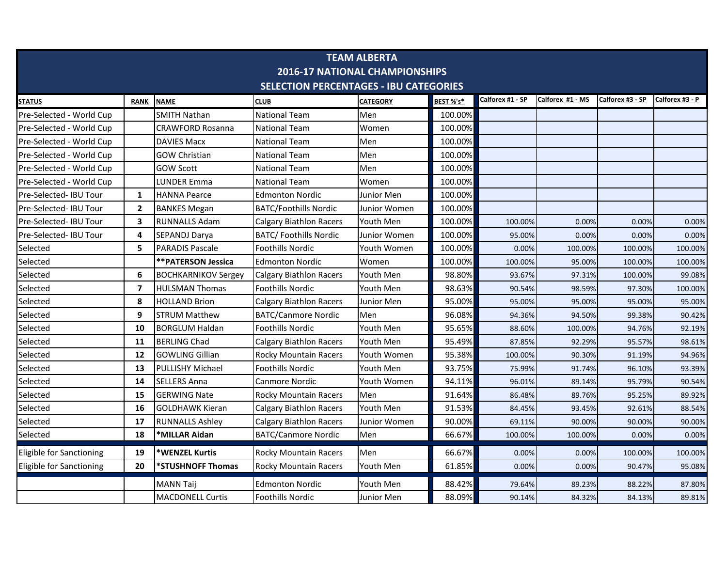| <b>TEAM ALBERTA</b>                           |                |                            |                                |                 |           |                  |                  |                  |                 |  |  |  |
|-----------------------------------------------|----------------|----------------------------|--------------------------------|-----------------|-----------|------------------|------------------|------------------|-----------------|--|--|--|
| <b>2016-17 NATIONAL CHAMPIONSHIPS</b>         |                |                            |                                |                 |           |                  |                  |                  |                 |  |  |  |
| <b>SELECTION PERCENTAGES - IBU CATEGORIES</b> |                |                            |                                |                 |           |                  |                  |                  |                 |  |  |  |
| <b>STATUS</b>                                 | <b>RANK</b>    | <b>NAME</b>                | <b>CLUB</b>                    | <b>CATEGORY</b> | BEST %'s* | Calforex #1 - SP | Calforex #1 - MS | Calforex #3 - SP | Calforex #3 - P |  |  |  |
| Pre-Selected - World Cup                      |                | <b>SMITH Nathan</b>        | <b>National Team</b>           | Men             | 100.00%   |                  |                  |                  |                 |  |  |  |
| Pre-Selected - World Cup                      |                | <b>CRAWFORD Rosanna</b>    | <b>National Team</b>           | Women           | 100.00%   |                  |                  |                  |                 |  |  |  |
| Pre-Selected - World Cup                      |                | <b>DAVIES Macx</b>         | <b>National Team</b>           | Men             | 100.00%   |                  |                  |                  |                 |  |  |  |
| Pre-Selected - World Cup                      |                | <b>GOW Christian</b>       | <b>National Team</b>           | Men             | 100.00%   |                  |                  |                  |                 |  |  |  |
| Pre-Selected - World Cup                      |                | <b>GOW Scott</b>           | <b>National Team</b>           | Men             | 100.00%   |                  |                  |                  |                 |  |  |  |
| Pre-Selected - World Cup                      |                | <b>LUNDER Emma</b>         | <b>National Team</b>           | Women           | 100.00%   |                  |                  |                  |                 |  |  |  |
| Pre-Selected- IBU Tour                        | 1              | <b>HANNA Pearce</b>        | <b>Edmonton Nordic</b>         | Junior Men      | 100.00%   |                  |                  |                  |                 |  |  |  |
| Pre-Selected- IBU Tour                        | $\mathbf{2}$   | <b>BANKES Megan</b>        | <b>BATC/Foothills Nordic</b>   | Junior Women    | 100.00%   |                  |                  |                  |                 |  |  |  |
| Pre-Selected- IBU Tour                        | 3              | <b>RUNNALLS Adam</b>       | <b>Calgary Biathlon Racers</b> | Youth Men       | 100.00%   | 100.00%          | 0.00%            | 0.00%            | 0.00%           |  |  |  |
| Pre-Selected- IBU Tour                        | 4              | SEPANDJ Darya              | <b>BATC/ Foothills Nordic</b>  | Junior Women    | 100.00%   | 95.00%           | 0.00%            | 0.00%            | 0.00%           |  |  |  |
| Selected                                      | 5              | <b>PARADIS Pascale</b>     | <b>Foothills Nordic</b>        | Youth Women     | 100.00%   | 0.00%            | 100.00%          | 100.00%          | 100.00%         |  |  |  |
| Selected                                      |                | **PATERSON Jessica         | <b>Edmonton Nordic</b>         | Women           | 100.00%   | 100.00%          | 95.00%           | 100.00%          | 100.00%         |  |  |  |
| Selected                                      | 6              | <b>BOCHKARNIKOV Sergey</b> | <b>Calgary Biathlon Racers</b> | Youth Men       | 98.80%    | 93.67%           | 97.31%           | 100.00%          | 99.08%          |  |  |  |
| Selected                                      | $\overline{7}$ | <b>HULSMAN Thomas</b>      | <b>Foothills Nordic</b>        | Youth Men       | 98.63%    | 90.54%           | 98.59%           | 97.30%           | 100.00%         |  |  |  |
| Selected                                      | 8              | <b>HOLLAND Brion</b>       | <b>Calgary Biathlon Racers</b> | Junior Men      | 95.00%    | 95.00%           | 95.00%           | 95.00%           | 95.00%          |  |  |  |
| Selected                                      | 9              | <b>STRUM Matthew</b>       | <b>BATC/Canmore Nordic</b>     | Men             | 96.08%    | 94.36%           | 94.50%           | 99.38%           | 90.42%          |  |  |  |
| Selected                                      | 10             | <b>BORGLUM Haldan</b>      | <b>Foothills Nordic</b>        | Youth Men       | 95.65%    | 88.60%           | 100.00%          | 94.76%           | 92.19%          |  |  |  |
| Selected                                      | 11             | <b>BERLING Chad</b>        | <b>Calgary Biathlon Racers</b> | Youth Men       | 95.49%    | 87.85%           | 92.29%           | 95.57%           | 98.61%          |  |  |  |
| Selected                                      | 12             | <b>GOWLING Gillian</b>     | <b>Rocky Mountain Racers</b>   | Youth Women     | 95.38%    | 100.00%          | 90.30%           | 91.19%           | 94.96%          |  |  |  |
| Selected                                      | 13             | PULLISHY Michael           | <b>Foothills Nordic</b>        | Youth Men       | 93.75%    | 75.99%           | 91.74%           | 96.10%           | 93.39%          |  |  |  |
| Selected                                      | 14             | <b>SELLERS Anna</b>        | <b>Canmore Nordic</b>          | Youth Women     | 94.11%    | 96.01%           | 89.14%           | 95.79%           | 90.54%          |  |  |  |
| Selected                                      | 15             | <b>GERWING Nate</b>        | <b>Rocky Mountain Racers</b>   | Men             | 91.64%    | 86.48%           | 89.76%           | 95.25%           | 89.92%          |  |  |  |
| Selected                                      | 16             | <b>GOLDHAWK Kieran</b>     | Calgary Biathlon Racers        | Youth Men       | 91.53%    | 84.45%           | 93.45%           | 92.61%           | 88.54%          |  |  |  |
| Selected                                      | 17             | <b>RUNNALLS Ashley</b>     | <b>Calgary Biathlon Racers</b> | Junior Women    | 90.00%    | 69.11%           | 90.00%           | 90.00%           | 90.00%          |  |  |  |
| Selected                                      | 18             | *MILLAR Aidan              | <b>BATC/Canmore Nordic</b>     | Men             | 66.67%    | 100.00%          | 100.00%          | 0.00%            | 0.00%           |  |  |  |
| Eligible for Sanctioning                      | 19             | *WENZEL Kurtis             | <b>Rocky Mountain Racers</b>   | Men             | 66.67%    | 0.00%            | 0.00%            | 100.00%          | 100.00%         |  |  |  |
| Eligible for Sanctioning                      | 20             | *STUSHNOFF Thomas          | <b>Rocky Mountain Racers</b>   | Youth Men       | 61.85%    | 0.00%            | 0.00%            | 90.47%           | 95.08%          |  |  |  |
|                                               |                | <b>MANN Taij</b>           | <b>Edmonton Nordic</b>         | Youth Men       | 88.42%    | 79.64%           | 89.23%           | 88.22%           | 87.80%          |  |  |  |
|                                               |                | <b>MACDONELL Curtis</b>    | <b>Foothills Nordic</b>        | Junior Men      | 88.09%    | 90.14%           | 84.32%           | 84.13%           | 89.81%          |  |  |  |